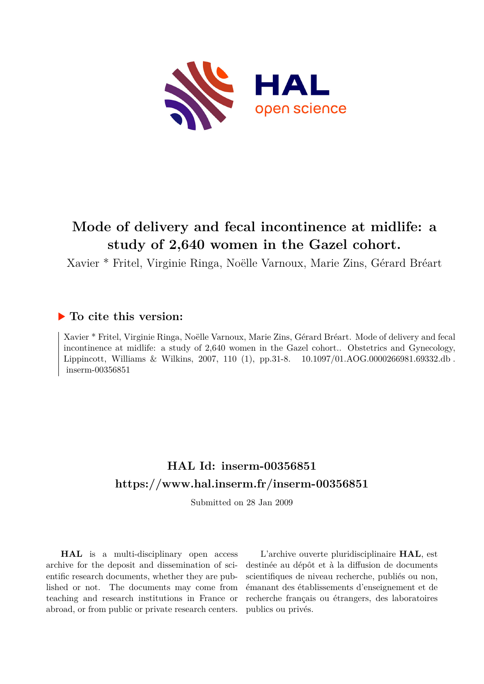

# **Mode of delivery and fecal incontinence at midlife: a study of 2,640 women in the Gazel cohort.**

Xavier \* Fritel, Virginie Ringa, Noëlle Varnoux, Marie Zins, Gérard Bréart

# **To cite this version:**

Xavier \* Fritel, Virginie Ringa, Noëlle Varnoux, Marie Zins, Gérard Bréart. Mode of delivery and fecal incontinence at midlife: a study of 2,640 women in the Gazel cohort.. Obstetrics and Gynecology, Lippincott, Williams & Wilkins, 2007, 110 (1), pp.31-8. 10.1097/01.AOG.0000266981.69332.db.  $inserm-00356851$ 

# **HAL Id: inserm-00356851 <https://www.hal.inserm.fr/inserm-00356851>**

Submitted on 28 Jan 2009

**HAL** is a multi-disciplinary open access archive for the deposit and dissemination of scientific research documents, whether they are published or not. The documents may come from teaching and research institutions in France or abroad, or from public or private research centers.

L'archive ouverte pluridisciplinaire **HAL**, est destinée au dépôt et à la diffusion de documents scientifiques de niveau recherche, publiés ou non, émanant des établissements d'enseignement et de recherche français ou étrangers, des laboratoires publics ou privés.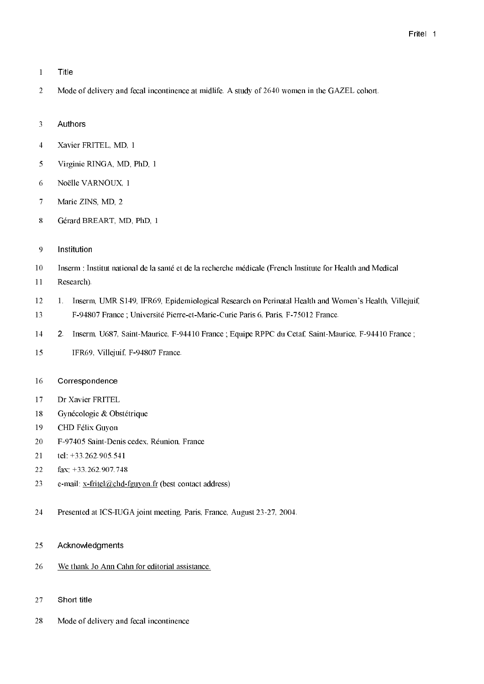- $\mathbf{1}$ Title
- $\overline{2}$ Mode of delivery and fecal incontinence at midlife. A study of 2640 women in the GAZEL cohort.
- Authors  $\overline{3}$
- $\overline{4}$ Xavier FRITEL, MD, 1
- $\overline{5}$ Virginie RINGA, MD, PhD, 1
- 6 Noëlle VARNOUX, 1
- $\overline{7}$ Marie ZINS, MD, 2
- 8 Gérard BREART, MD, PhD, 1
- 9 Institution
- $10\,$ Inserm : Institut national de la santé et de la recherche médicale (French Institute for Health and Medical
- $11$ Research).
- 12 1. Inserm, UMR S149, IFR69, Epidemiological Research on Perinatal Health and Women's Health, Villejuif, 13 F-94807 France ; Université Pierre-et-Marie-Curie Paris 6, Paris, F-75012 France.
- $14$ 2. Inserm, U687, Saint-Maurice, F-94410 France; Equipe RPPC du Cetaf, Saint-Maurice, F-94410 France;
- 15 IFR69, Villejuif, F-94807 France.
- 16 Correspondence
- $17$ Dr Xavier FRITEL
- 18 Gynécologie & Obstétrique
- 19 CHD Félix Guyon
- 20 F-97405 Saint-Denis cedex, Réunion, France
- 21 tel: +33.262.905.541
- 22 fax: +33.262.907.748
- 23 e-mail: x-fritel@chd-fguyon.fr (best contact address)
- 24 Presented at ICS-IUGA joint meeting, Paris, France, August 23-27, 2004.
- 25 Acknowledgments
- 26 We thank Jo Ann Cahn for editorial assistance.
- Short title 27
- 28 Mode of delivery and fecal incontinence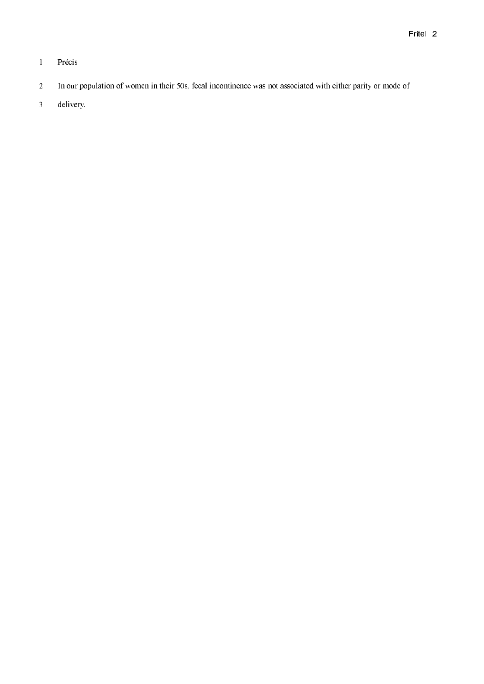- $\overline{1}$ Précis
- $\overline{2}$ In our population of women in their 50s, fecal incontinence was not associated with either parity or mode of
- $\overline{3}$ delivery.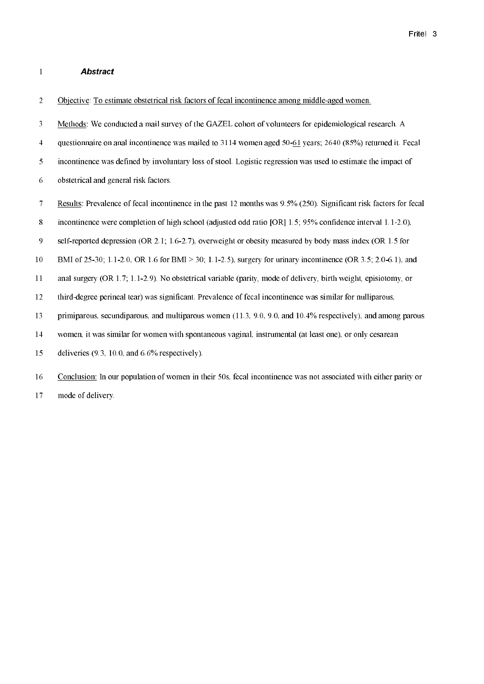#### **Abstract**  $\bf 1$

 $\boldsymbol{2}$ Objective: To estimate obstetrical risk factors of fecal incontinence among middle-aged women.

 $\overline{\mathbf{3}}$ Methods: We conducted a mail survey of the GAZEL cohort of volunteers for epidemiological research. A

 $\overline{4}$ questionnaire on anal incontinence was mailed to 3114 women aged 50-61 years; 2640 (85%) returned it. Fecal

5 incontinence was defined by involuntary loss of stool. Logistic regression was used to estimate the impact of

- 6 obstetrical and general risk factors.
- $\overline{7}$ Results: Prevalence of fecal incontinence in the past 12 months was 9.5% (250). Significant risk factors for fecal

 $\bf 8$ incontinence were completion of high school (adjusted odd ratio [OR] 1.5; 95% confidence interval 1.1-2.0),

 $\overline{9}$ self-reported depression (OR 2.1; 1.6-2.7), overweight or obesity measured by body mass index (OR 1.5 for

 $10<sup>10</sup>$ BMI of 25-30; 1.1-2.0, OR 1.6 for BMI > 30; 1.1-2.5), surgery for urinary incontinence (OR 3.5; 2.0-6.1), and

 $11\,$ anal surgery (OR 1.7; 1.1-2.9). No obstetrical variable (parity, mode of delivery, birth weight, episiotomy, or

 $12\,$ third-degree perineal tear) was significant. Prevalence of fecal incontinence was similar for nulliparous,

13 primiparous, secundiparous, and multiparous women (11.3, 9.0, 9.0, and 10.4% respectively), and among parous

14 women, it was similar for women with spontaneous vaginal, instrumental (at least one), or only cesarean

15 deliveries  $(9.3, 10.0, \text{ and } 6.6\%$  respectively).

 $16\,$ Conclusion: In our population of women in their 50s, fecal incontinence was not associated with either parity or  $17$ mode of delivery.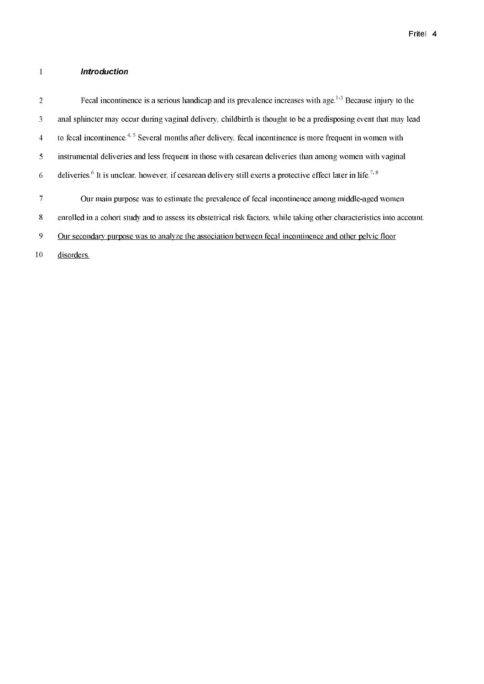#### $\overline{1}$ Introduction

Fecal incontinence is a serious handicap and its prevalence increases with age.<sup>1,3</sup> Because injury to the  $\boldsymbol{2}$  $\overline{\mathbf{3}}$ anal sphincter may occur during vaginal delivery, childbirth is thought to be a predisposing event that may lead to fecal incontinence.<sup>4, 5</sup> Several months after delivery, fecal incontinence is more frequent in women with  $\overline{4}$  $\overline{5}$ instrumental deliveries and less frequent in those with cesarean deliveries than among women with vaginal deliveries.<sup>6</sup> It is unclear, however, if cesarean delivery still exerts a protective effect later in life.<sup>7, 8</sup>  $\sqrt{6}$  $\overline{7}$ Our main purpose was to estimate the prevalence of fecal incontinence among middle-aged women 8 enrolled in a cohort study and to assess its obstetrical risk factors, while taking other characteristics into account.  $\mathbf{9}$ Our secondary purpose was to analyze the association between fecal incontinence and other pelvic floor 10 disorders.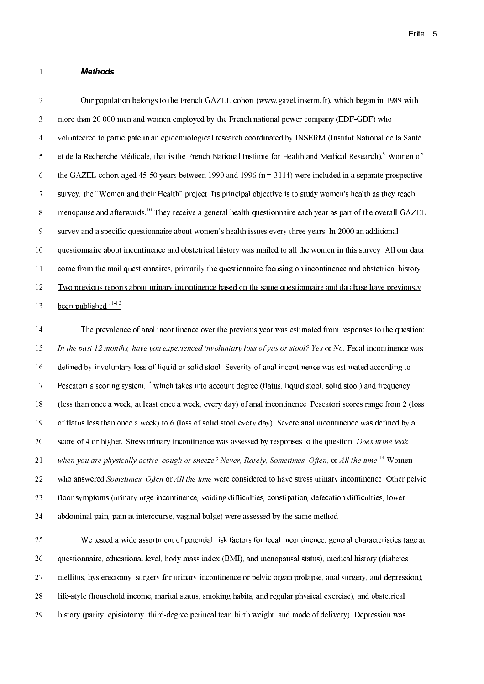### **Methods**

 $\mathbf{1}$ 

 $\overline{2}$ Our population belongs to the French GAZEL cohort (www.gazel.inserm.fr), which began in 1989 with  $\overline{\mathbf{3}}$ more than 20 000 men and women employed by the French national power company (EDF-GDF) who  $\overline{4}$ volunteered to participate in an epidemiological research coordinated by INSERM (Institut National de la Santé  $\overline{5}$ et de la Recherche Médicale, that is the French National Institute for Health and Medical Research).<sup>9</sup> Women of 6 the GAZEL cohort aged 45-50 years between 1990 and 1996  $(n = 3114)$  were included in a separate prospective  $\overline{7}$ survey, the "Women and their Health" project. Its principal objective is to study women's health as they reach menopause and afterwards.<sup>10</sup> They receive a general health questionnaire each year as part of the overall GAZEL 8 9 survey and a specific questionnaire about women's health issues every three years. In 2000 an additional 10 questionnaire about incontinence and obstetrical history was mailed to all the women in this survey. All our data  $11$ come from the mail questionnaires, primarily the questionnaire focusing on incontinence and obstetrical history. 12 Two previous reports about urinary incontinence based on the same questionnaire and database have previously been published.<sup>11-12</sup> 13  $14$ The prevalence of anal incontinence over the previous year was estimated from responses to the question:

15 In the past 12 months, have you experienced involuntary loss of gas or stool? Yes or No. Fecal incontinence was defined by involuntary loss of liquid or solid stool. Severity of anal incontinence was estimated according to 16 Pescatori's scoring system,<sup>13</sup> which takes into account degree (flatus, liquid stool, solid stool) and frequency 17  $18\,$ (less than once a week, at least once a week, every day) of anal incontinence. Pescatori scores range from 2 (loss 19 of flatus less than once a week) to 6 (loss of solid stool every day). Severe anal incontinence was defined by a 20 score of 4 or higher. Stress urinary incontinence was assessed by responses to the question: *Does urine leak* when you are physically active, cough or sneeze? Never, Rarely, Sometimes, Often, or All the time,  $14$  Women 21 22 who answered *Sometimes*, *Often* or *All the time* were considered to have stress urinary incontinence. Other pelvic 23 floor symptoms (urinary urge incontinence, voiding difficulties, constipation, defecation difficulties, lower 24 abdominal pain, pain at intercourse, vaginal bulge) were assessed by the same method.

 $25<sub>1</sub>$ We tested a wide assortment of potential risk factors for fecal incontinence: general characteristics (age at 26 questionnaire, educational level, body mass index (BMI), and menopausal status), medical history (diabetes 27 mellitus, hysterectomy, surgery for urinary incontinence or pelvic organ prolapse, anal surgery, and depression). 28 life-style (household income, marital status, smoking habits, and regular physical exercise), and obstetrical 29 history (parity, episiotomy, third-degree perineal tear, birth weight, and mode of delivery). Depression was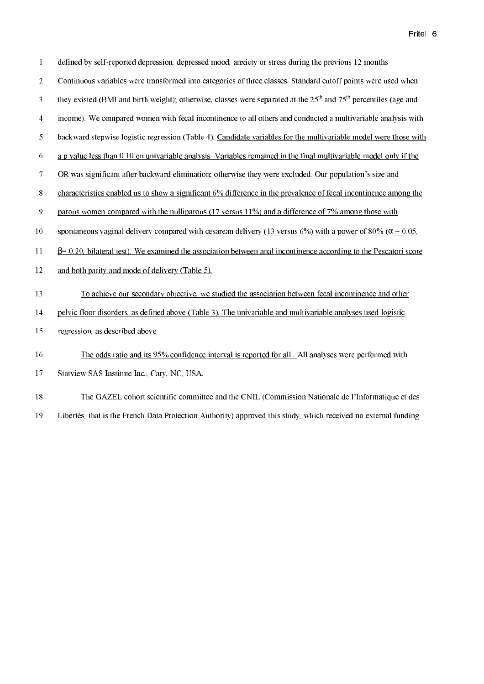| $\mathbf{1}$    | defined by self-reported depression, depressed mood, anxiety or stress during the previous 12 months.                                    |
|-----------------|------------------------------------------------------------------------------------------------------------------------------------------|
| $\overline{2}$  | Continuous variables were transformed into categories of three classes. Standard cutoff points were used when                            |
| 3               | they existed (BMI and birth weight); otherwise, classes were separated at the 25 <sup>th</sup> and 75 <sup>th</sup> percentiles (age and |
| $\overline{4}$  | income). We compared women with fecal incontinence to all others and conducted a multivariable analysis with                             |
| 5               | backward stepwise logistic regression (Table 4). Candidate variables for the multivariable model were those with                         |
| 6               | a p value less than 0.10 on univariable analysis. Variables remained in the final multivariable model only if the                        |
| $\overline{7}$  | OR was significant after backward elimination; otherwise they were excluded. Our population's size and                                   |
| $\bf 8$         | characteristics enabled us to show a significant 6% difference in the prevalence of fecal incontinence among the                         |
| 9               | parous women compared with the nulliparous (17 versus 11%) and a difference of 7% among those with                                       |
| 10              | spontaneous vaginal delivery compared with cesarean delivery (13 versus 6%) with a power of 80% ( $\alpha$ = 0.05,                       |
| 11              | $\beta$ = 0.20, bilateral test). We examined the association between anal incontinence according to the Pescatori score                  |
| $\overline{12}$ | and both parity and mode of delivery (Table 5).                                                                                          |
| 13              | To achieve our secondary objective, we studied the association between fecal incontinence and other                                      |
| 14              | pelvic floor disorders, as defined above (Table 3). The univariable and multivariable analyses used logistic                             |
| 15              | regression, as described above.                                                                                                          |
| 16              | The odds ratio and its 95% confidence interval is reported for all. All analyses were performed with                                     |
| 17              | Statview SAS Institute Inc., Cary, NC, USA.                                                                                              |
| 18              | The GAZEL cohort scientific committee and the CNIL (Commission Nationale de l'Informatique et des                                        |

19 Libertés, that is the French Data Protection Authority) approved this study, which received no external funding.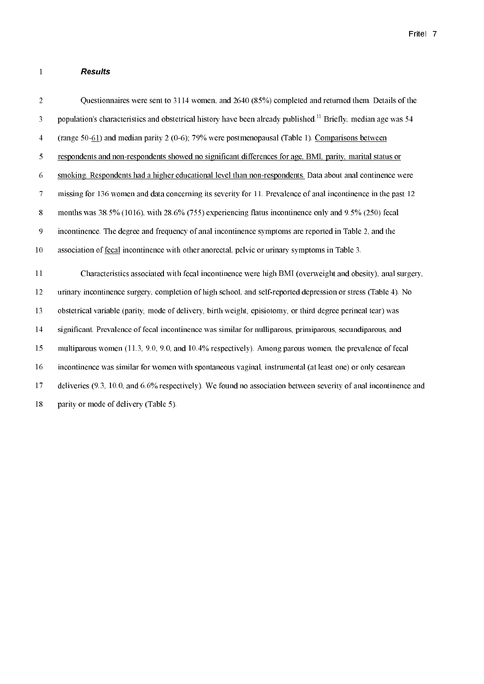### **Results**

 $\mathbf 1$ 

Questionnaires were sent to 3114 women, and 2640 (85%) completed and returned them. Details of the  $\overline{2}$ population's characteristics and obstetrical history have been already published.<sup>11</sup> Briefly, median age was 54  $\overline{\mathbf{3}}$  $\overline{4}$ (range 50-61) and median parity 2 (0-6); 79% were postmenopausal (Table 1). Comparisons between  $\overline{5}$ respondents and non-respondents showed no significant differences for age, BMI, parity, marital status or 6 smoking. Respondents had a higher educational level than non-respondents. Data about anal continence were  $\overline{7}$ missing for 136 women and data concerning its severity for 11. Prevalence of anal incontinence in the past 12 8 months was 38.5% (1016), with 28.6% (755) experiencing flatus incontinence only and  $9.5\%$  (250) fecal  $\overline{9}$ incontinence. The degree and frequency of anal incontinence symptoms are reported in Table 2, and the  $10<sup>10</sup>$ association of fecal incontinence with other anorectal, pelvic or urinary symptoms in Table 3.  $11$ Characteristics associated with fecal incontinence were high BMI (overweight and obesity), anal surgery. 12 urinary incontinence surgery, completion of high school, and self-reported depression or stress (Table 4). No 13 obstetrical variable (parity, mode of delivery, birth weight, episiotomy, or third degree perineal tear) was  $14$ significant. Prevalence of fecal incontinence was similar for nulliparous, primiparous, secundiparous, and 15 multiparous women (11.3, 9.0, 9.0, and 10.4% respectively). Among parous women, the prevalence of fecal 16 incontinence was similar for women with spontaneous yaginal, instrumental (at least one) or only cesarean 17 deliveries (9.3, 10.0, and 6.6% respectively). We found no association between severity of anal incontinence and  $18\,$ parity or mode of delivery (Table 5).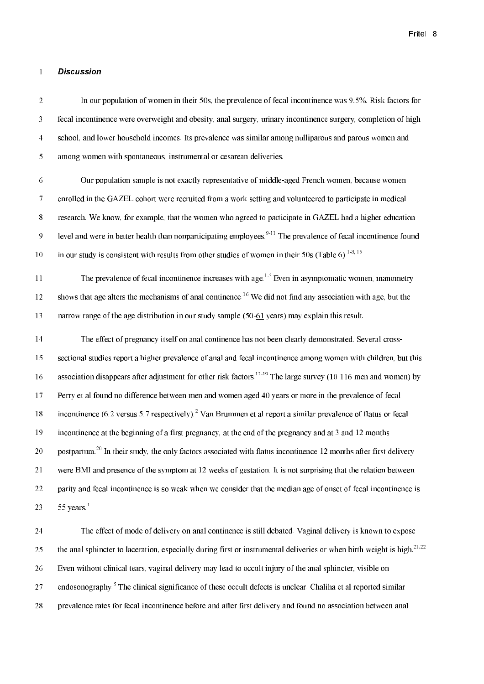#### **Discussion**  $\mathbf{1}$

 $\boldsymbol{2}$ In our population of women in their 50s, the prevalence of fecal incontinence was 9.5%. Risk factors for  $\overline{3}$ fecal incontinence were overweight and obesity, anal surgery, urinary incontinence surgery, completion of high  $\overline{4}$ school, and lower household incomes. Its prevalence was similar among nulliparous and parous women and  $\overline{5}$ among women with spontaneous, instrumental or cesarean deliveries.

6 Our population sample is not exactly representative of middle-aged French women, because women  $\overline{7}$ enrolled in the GAZEL cohort were recruited from a work setting and volunteered to participate in medical  $\bf 8$ research. We know, for example, that the women who agreed to participate in GAZEL had a higher education level and were in better health than nonparticipating employees.<sup>9-11</sup> The prevalence of fecal incontinence found 9 in our study is consistent with results from other studies of women in their 50s (Table 6).<sup>1-3, 15</sup>  $10<sup>10</sup>$ 

The prevalence of fecal incontinence increases with age.<sup>1-3</sup> Even in asymptomatic women, manometry  $11<sup>1</sup>$ shows that age alters the mechanisms of anal continence.<sup>16</sup> We did not find any association with age, but the 12 narrow range of the age distribution in our study sample  $(50-61 \text{ years})$  may explain this result. 13

14 The effect of pregnancy itself on anal continence has not been clearly demonstrated. Several crosssectional studies report a higher prevalence of anal and fecal incontinence among women with children, but this 15 association disappears after adjustment for other risk factors.<sup>17-19</sup> The large survey (10 116 men and women) by  $16\,$  $17$ Perry et al found no difference between men and women aged 40 years or more in the prevalence of fecal incontinence (6.2 versus 5.7 respectively).<sup>2</sup> Van Brummen et al report a similar prevalence of flatus or fecal 18 19 incontinence at the beginning of a first pregnancy, at the end of the pregnancy and at 3 and 12 months 20 postpartum.<sup>20</sup> In their study, the only factors associated with flatus incontinence 12 months after first delivery 21 were BMI and presence of the symptom at 12 weeks of gestation. It is not surprising that the relation between 22 parity and fecal incontinence is so weak when we consider that the median age of onset of fecal incontinence is  $55$  years.<sup>1</sup> 23

24 The effect of mode of delivery on anal continence is still debated. Vaginal delivery is known to expose the anal sphincter to laceration, especially during first or instrumental deliveries or when birth weight is high.<sup>21,22</sup> 25 26 Even without clinical tears, vaginal delivery may lead to occult injury of the anal sphincter, visible on endosonography.<sup>5</sup> The clinical significance of these occult defects is unclear. Chaliha et al reported similar 27 28 prevalence rates for fecal incontinence before and after first delivery and found no association between anal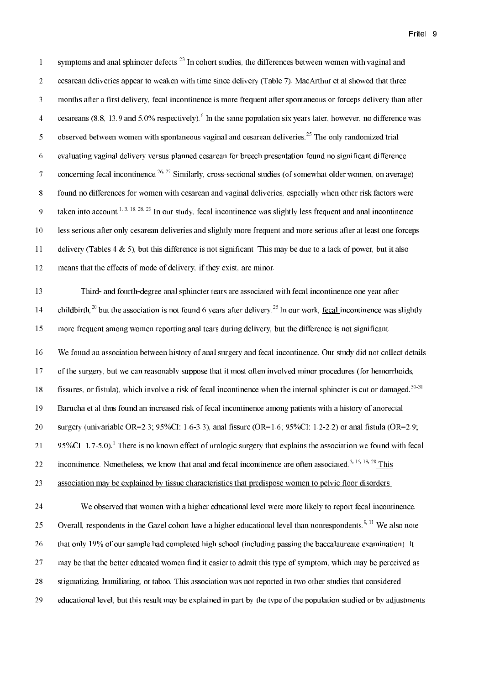symptoms and anal sphincter defects.<sup>23</sup> In cohort studies, the differences between women with vaginal and  $\mathbf{1}$  $\overline{2}$ cesarean deliveries appear to weaken with time since delivery (Table 7). MacArthur et al showed that three  $\mathfrak{Z}$ months after a first delivery, fecal incontinence is more frequent after spontaneous or forceps delivery than after cesareans (8.8, 13.9 and 5.0% respectively).<sup>6</sup> In the same population six years later, however, no difference was  $\overline{4}$ observed between women with spontaneous vaginal and cesarean deliveries.<sup>25</sup> The only randomized trial 5  $\overline{6}$ evaluating vaginal delivery versus planned cesarean for breech presentation found no significant difference concerning fecal incontinence.<sup>26, 27</sup> Similarly, cross-sectional studies (of somewhat older women, on average)  $\overline{7}$ 8 found no differences for women with cesarean and vaginal deliveries, especially when other risk factors were taken into account.<sup>1, 3, 18, 28, 29</sup> In our study, fecal incontinence was slightly less frequent and anal incontinence 9 less serious after only cesarean deliveries and slightly more frequent and more serious after at least one forceps  $10<sup>10</sup>$  $11$ delivery (Tables 4  $\&$  5), but this difference is not significant. This may be due to a lack of power, but it also 12 means that the effects of mode of delivery, if they exist, are minor.  $13<sup>°</sup>$ Third- and fourth-degree anal sphincter tears are associated with fecal incontinence one year after childbirth.<sup>20</sup> but the association is not found 6 years after delivery.<sup>25</sup> In our work, fecal incontinence was slightly  $14$ more frequent among women reporting anal tears during delivery, but the difference is not significant. 15

16 We found an association between history of anal surgery and fecal incontinence. Our study did not collect details 17 of the surgery, but we can reasonably suppose that it most often involved minor procedures (for hemorrhoids, fissures, or fistula), which involve a risk of fecal incontinence when the internal sphincter is cut or damaged.<sup>30-31</sup> 18 19 Barucha et al thus found an increased risk of fecal incontinence among patients with a history of anorectal  $20\,$ surgery (univariable OR=2.3;  $95\%CI$ : 1.6-3.3), anal fissure (OR=1.6;  $95\%CI$ : 1.2-2.2) or anal fistula (OR=2.9; 95%CI:  $1.7-5.0$ ).<sup>1</sup> There is no known effect of urologic surgery that explains the association we found with fecal 21 incontinence. Nonetheless, we know that anal and fecal incontinence are often associated.<sup>3, 15, 18, 28</sup> This 22 23 association may be explained by tissue characteristics that predispose women to pelvic floor disorders.

We observed that women with a higher educational level were more likely to report fecal incontinence. 24 Overall, respondents in the Gazel cohort have a higher educational level than nonrespondents.<sup>9,11</sup> We also note 25 that only 19% of our sample had completed high school (including passing the baccalaureate examination). It 26 27 may be that the better educated women find it easier to admit this type of symptom, which may be perceived as 28 stigmatizing, humiliating, or taboo. This association was not reported in two other studies that considered 29 educational level, but this result may be explained in part by the type of the population studied or by adjustments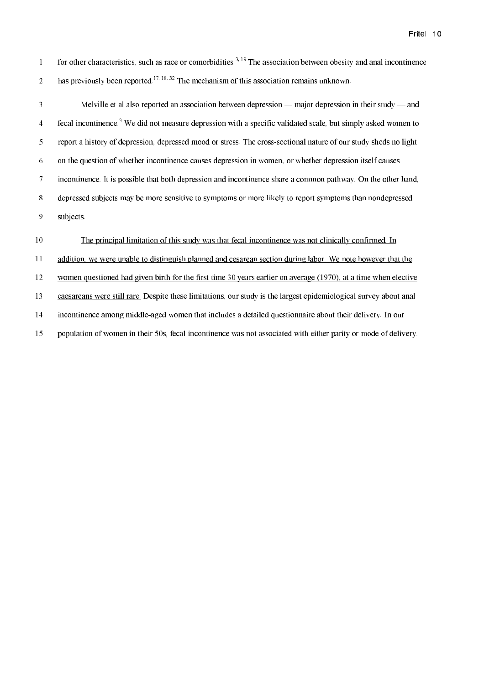for other characteristics, such as race or comorbidities.<sup>3,19</sup> The association between obesity and anal incontinence  $\mathbf 1$ has previously been reported.<sup>17, 18, 32</sup> The mechanism of this association remains unknown.  $\overline{2}$ 

 $\overline{3}$ Melville et al also reported an association between depression — major depression in their study — and fecal incontinence.<sup>3</sup> We did not measure depression with a specific validated scale, but simply asked women to  $\overline{4}$  $\overline{5}$ report a history of depression, depressed mood or stress. The cross-sectional nature of our study sheds no light on the question of whether incontinence causes depression in women, or whether depression itself causes  $\sqrt{6}$  $\overline{7}$ incontinence. It is possible that both depression and incontinence share a common pathway. On the other hand,  $8\,$ depressed subjects may be more sensitive to symptoms or more likely to report symptoms than nondepressed  $\boldsymbol{9}$ subjects.

#### 10 The principal limitation of this study was that fecal incontinence was not clinically confirmed. In

 $11\,$ addition, we were unable to distinguish planned and cesarean section during labor. We note however that the

 $12\,$ women questioned had given birth for the first time 30 years earlier on average (1970), at a time when elective

13 caesareans were still rare. Despite these limitations, our study is the largest epidemiological survey about anal

 $14\,$ incontinence among middle-aged women that includes a detailed questionnaire about their delivery. In our

population of women in their 50s, fecal incontinence was not associated with either parity or mode of delivery. 15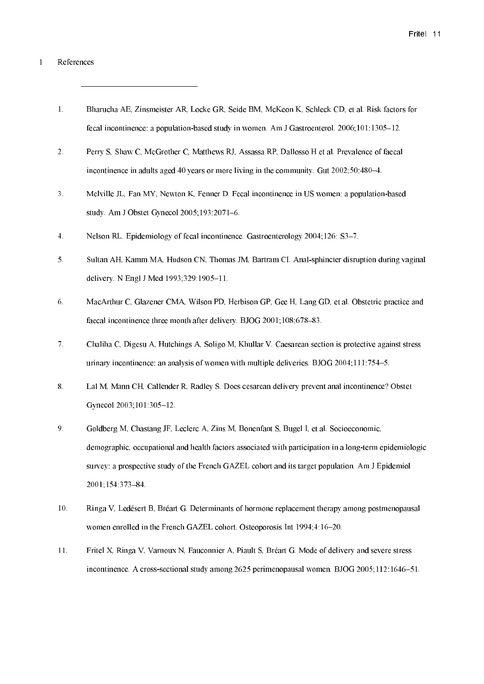#### $\mathbf{1}$ References

- $1.$ Bharucha AE, Zinsmeister AR, Locke GR, Seide BM, McKeon K, Schleck CD, et al. Risk factors for fecal incontinence: a population-based study in women. Am J Gastroenterol. 2006;101:1305-12.
- $2.$ Perry S, Shaw C, McGrother C, Matthews RJ, Assassa RP, Dallosso H et al. Prevalence of faecal incontinence in adults aged 40 years or more living in the community. Gut 2002;50:480-4.
- $3<sub>1</sub>$ Melville JL. Fan MY, Newton K. Fenner D. Fecal incontinence in US women: a population-based study. Am J Obstet Gynecol 2005;193:2071-6.
- $\overline{4}$ . Nelson RL. Epidemiology of fecal incontinence. Gastroenterology 2004;126: S3-7.
- $5<sub>1</sub>$ Sultan AH, Kamm MA, Hudson CN, Thomas JM, Bartram CI. Anal-sphincter disruption during vaginal delivery. N Engl J Med 1993;329:1905-11.
- 6. MacArthur C, Glazener CMA, Wilson PD, Herbison GP, Gee H, Lang GD, et al. Obstetric practice and faecal incontinence three month after delivery. BJOG 2001;108:678-83.
- $7.$ Chaliha C, Digesu A, Hutchings A, Soligo M, Khullar V. Caesarean section is protective against stress urinary incontinence: an analysis of women with multiple deliveries. BJOG 2004;111:754-5.
- $8.$ Lal M, Mann CH, Callender R, Radley S. Does cesarean delivery prevent anal incontinence? Obstet Gynecol 2003;101:305-12.
- 9. Goldberg M, Chastang JF, Leclerc A, Zins M, Bonenfant S, Bugel I, et al. Socioeconomic, demographic, occupational and health factors associated with participation in a long-term epidemiologic survey: a prospective study of the French GAZEL cohort and its target population. Am J Epidemiol 2001;154:373-84.
- 10. Ringa V, Ledésert B, Bréart G. Determinants of hormone replacement therapy among postmenopausal women enrolled in the French GAZEL cohort. Osteoporosis Int 1994;4:16-20.
- $11.$ Fritel X, Ringa V, Varnoux N, Fauconnier A, Piault S, Bréart G. Mode of delivery and severe stress incontinence. A cross-sectional study among 2625 perimenopausal women. BJOG 2005;112:1646–51.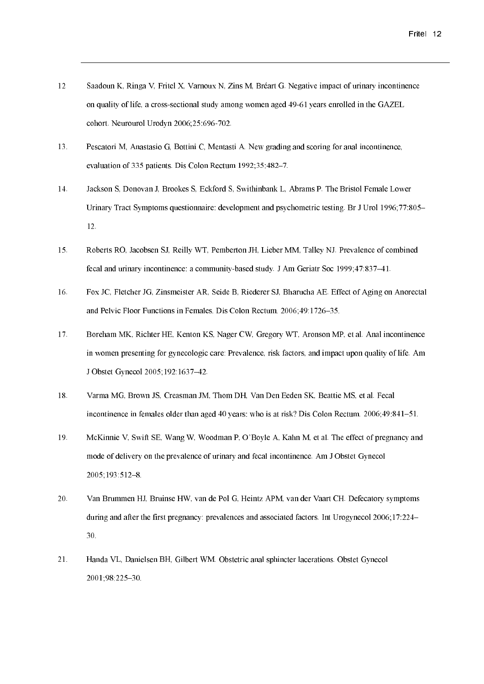- 12 Saadoun K, Ringa V, Fritel X, Varnoux N, Zins M, Bréart G. Negative impact of urinary incontinence on quality of life, a cross-sectional study among women aged 49-61 years enrolled in the GAZEL cohort. Neurourol Urodyn 2006;25:696-702.
- 13. Pescatori M, Anastasio G, Bottini C, Mentasti A. New grading and scoring for anal incontinence, evaluation of 335 patients. Dis Colon Rectum 1992;35:482-7.
- 14. Jackson S, Donovan J, Brookes S, Eckford S, Swithinbank L, Abrams P. The Bristol Female Lower Urinary Tract Symptoms questionnaire: development and psychometric testing. Br J Urol 1996;77:805– 12.
- $15.$ Roberts RO, Jacobsen SJ, Reilly WT, Pemberton JH, Lieber MM, Talley NJ. Prevalence of combined fecal and urinary incontinence: a community-based study. J Am Geriatr Soc 1999; 47:837-41.
- 16. Fox JC, Fletcher JG, Zinsmeister AR, Seide B, Riederer SJ, Bharucha AE. Effect of Aging on Anorectal and Pelvic Floor Functions in Females. Dis Colon Rectum. 2006;49:1726-35.
- $17.$ Boreham MK, Richter HE, Kenton KS, Nager CW, Gregory WT, Aronson MP, et al. Anal incontinence in women presenting for gynecologic care: Prevalence, risk factors, and impact upon quality of life. Am J Obstet Gynecol 2005;192:1637-42.
- $18.$ Varma MG, Brown JS, Creasman JM, Thom DH, Van Den Eeden SK, Beattie MS, et al. Fecal incontinence in females older than aged 40 years: who is at risk? Dis Colon Rectum. 2006;49:841-51.
- $19<sub>1</sub>$ McKinnie V, Swift SE, Wang W, Woodman P, O'Boyle A, Kahn M, et al. The effect of pregnancy and mode of delivery on the prevalence of urinary and fecal incontinence. Am J Obstet Gynecol  $2005; 193: 512-8.$
- 20. Van Brummen HJ, Bruinse HW, van de Pol G, Heintz APM, van der Vaart CH. Defecatory symptoms during and after the first pregnancy: prevalences and associated factors. Int Urogynecol 2006;17:224– 30.
- $21.$ Handa VL, Danielsen BH, Gilbert WM, Obstetric anal sphincter lacerations. Obstet Gynecol 2001;98:225-30.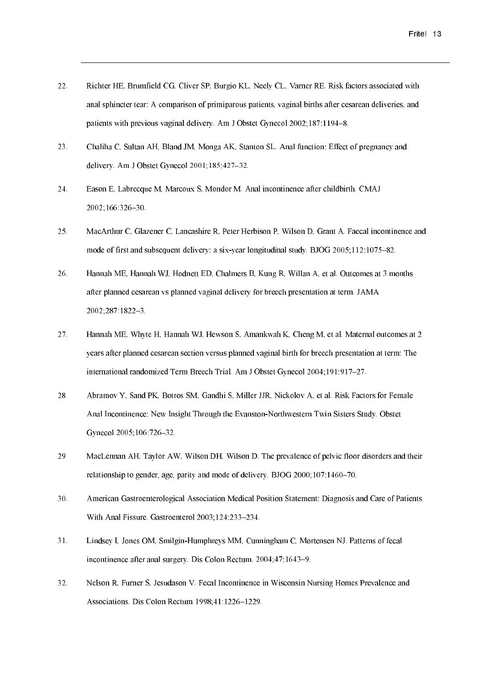- $22.$ Richter HE, Brumfield CG, Cliver SP, Burgio KL, Neely CL, Varner RE, Risk factors associated with anal sphincter tear: A comparison of primiparous patients, vaginal births after cesarean deliveries, and patients with previous vaginal delivery. Am J Obstet Gynecol 2002:187:1194-8.
- $23.$ Chaliha C, Sultan AH, Bland JM, Monga AK, Stanton SL. Anal function: Effect of pregnancy and delivery. Am J Obstet Gynecol 2001;185:427-32.
- 24. Eason E, Labrecque M, Marcoux S, Mondor M. Anal incontinence after childbirth. CMAJ 2002;166:326-30.
- 25. MacArthur C, Glazener C, Lancashire R, Peter Herbison P, Wilson D, Grant A. Faecal incontinence and mode of first and subsequent delivery: a six-year longitudinal study. BJOG 2005;112:1075-82.
- 26. Hannah ME, Hannah WJ, Hodnett ED, Chalmers B, Kung R, Willan A, et al. Outcomes at 3 months after planned cesarean vs planned vaginal delivery for breech presentation at term. JAMA 2002;287:1822-3.
- 27. Hannah ME, Whyte H, Hannah WJ, Hewson S, Amankwah K, Cheng M, et al. Maternal outcomes at 2 years after planned cesarean section versus planned yaginal birth for breech presentation at term: The international randomized Term Breech Trial. Am J Obstet Gynecol 2004;191:917-27.
- Abramov Y, Sand PK, Botros SM, Gandhi S, Miller JJR, Nickolov A, et al. Risk Factors for Female 28 Anal Incontinence: New Insight Through the Evanston-Northwestern Twin Sisters Study. Obstet Gynecol 2005;106:726-32.
- 29 MacLennan AH, Taylor AW, Wilson DH, Wilson D. The prevalence of pelvic floor disorders and their relationship to gender, age, parity and mode of delivery. BJOG 2000;107:1460-70.
- 30. American Gastroenterological Association Medical Position Statement: Diagnosis and Care of Patients With Anal Fissure. Gastroenterol 2003;124:233-234.
- 31. Lindsey I, Jones OM, Smilgin-Humphreys MM, Cunningham C, Mortensen NJ. Patterns of fecal incontinence after anal surgery. Dis Colon Rectum. 2004;47:1643-9.
- $32.$ Nelson R, Furner S, Jesudason V. Fecal Incontinence in Wisconsin Nursing Homes Prevalence and Associations. Dis Colon Rectum 1998;41:1226-1229.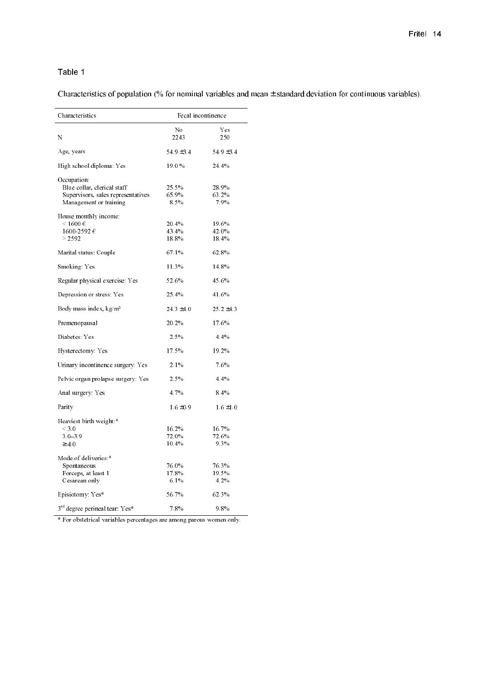Characteristics of population (% for nominal variables and mean  $\pm$  standard deviation for continuous variables).

| Characteristics                            |                | Fecal incontinence |  |  |
|--------------------------------------------|----------------|--------------------|--|--|
|                                            | N <sub>0</sub> | Yes                |  |  |
| N                                          | 2243           | 250                |  |  |
| Age, years                                 | 549 ± 34       | $549 \pm 34$       |  |  |
| High school diploma Yes                    | 190%           | 24.4%              |  |  |
| Occupation:                                |                |                    |  |  |
| Blue collar, clerical staff                | 25.5%          | 28.9%              |  |  |
| Supervisors, sales representatives         | 65.9%          | 63.2%              |  |  |
| Management or training                     | 8.5%           | 7.9%               |  |  |
| House monthly income:                      |                |                    |  |  |
| $\leq 1600 \in$                            | 20.4%          | 19.6%              |  |  |
| 1600-2592 $\in$                            | 43.4%          | 42.0%              |  |  |
| > 2592                                     | 18.8%          | 18.4%              |  |  |
| Marital status: Couple                     | 67.1%          | 62.8%              |  |  |
| Smoking Yes                                | 11.3%          | 14.8%              |  |  |
| Regular physical exercise: Yes             | 52.6%          | 45.6%              |  |  |
| Depression or stress: Yes                  | 25.4%          | 41.6%              |  |  |
| Body mass index, kg/m <sup>2</sup>         | $24.3 \pm 4.0$ | $25.2 \pm 4.3$     |  |  |
| Premenopausal                              | 20 2%          | 17.6%              |  |  |
| Diabetes Yes                               | 2.5%           | 4.4%               |  |  |
| Hysterectomy Yes                           | 17.5%          | 19.2%              |  |  |
| Urinary incontinence surgery. Yes          | 2.1%           | 7.6%               |  |  |
| Pelvic organ prolapse surgery: Yes         | 2.5%           | 4.4%               |  |  |
| Anal surgery Yes                           | 4.7%           | 8.4%               |  |  |
| Parity                                     | $1.6 \pm 0.9$  | $1.6 \pm 1.0$      |  |  |
| Heaviest birth weight *                    |                |                    |  |  |
| $<$ 3.0                                    | 16.2%          | 16.7%              |  |  |
| $3.0 - 3.9$                                | 72.0%          | 72.6%              |  |  |
| $\geq 4.0$                                 | 10.4%          | 9.3%               |  |  |
| Mode of deliveries *                       |                |                    |  |  |
| Spontaneous                                | 76.0%          | 76.3%              |  |  |
| Forceps, at least 1                        | 17.8%          | 19.5%              |  |  |
| Cesarean only                              | 6.1%           | 4.2%               |  |  |
| Episiotomy Yes*                            | 56.7%          | 62.3%              |  |  |
| 3 <sup>rd</sup> degree perineal tear. Yes* | 7.8%           | 9.8%               |  |  |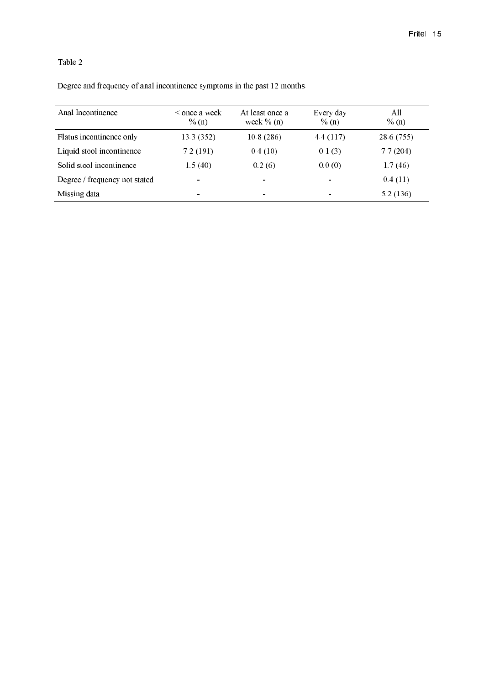Degree and frequency of anal incontinence symptoms in the past 12 months.

| Anal Incontinence             | < once a week<br>$\%$ (n) | At least once a<br>week $\%$ (n) | Every day<br>$\%$ (n) | All<br>$\%$ (n) |
|-------------------------------|---------------------------|----------------------------------|-----------------------|-----------------|
| Flatus incontinence only      | 13.3 (352)                | 10.8(286)                        | 4.4(117)              | 28.6 (755)      |
| Liquid stool incontinence     | 7.2(191)                  | 0.4(10)                          | 0.1(3)                | 7.7(204)        |
| Solid stool incontinence      | 1.5(40)                   | 0.2(6)                           | 0.0(0)                | 1.7(46)         |
| Degree / frequency not stated |                           | $\blacksquare$                   | $\blacksquare$        | 0.4(11)         |
| Missing data                  | $\blacksquare$            | $\blacksquare$                   |                       | 5.2(136)        |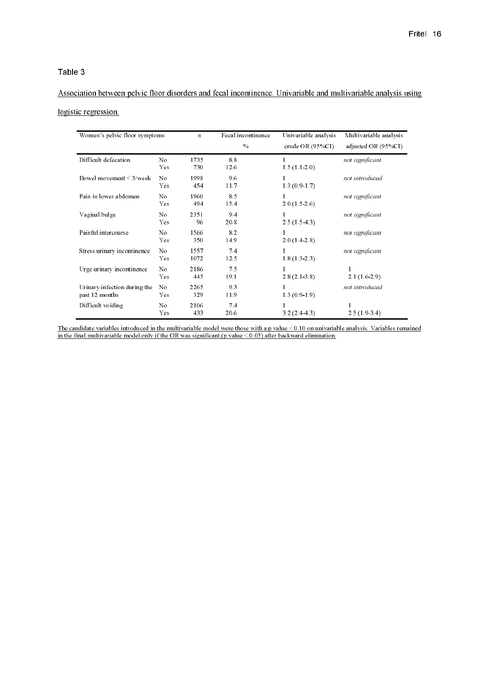# Association between pelvic floor disorders and fecal incontinence. Univariable and multivariable analysis using logistic regression.

| Women's pelvic floor symptoms                  |                              | $\mathbf n$  | Fecal incontinence<br>$\%$ | Univariable analysis<br>crude OR $(95\%CI)$ | Multivariable analysis<br>adjusted OR (95%CI) |
|------------------------------------------------|------------------------------|--------------|----------------------------|---------------------------------------------|-----------------------------------------------|
| Difficult defecation                           | No<br>Yes.                   | 1735<br>730  | 88<br>12.6                 | 1<br>1.5(1.1.2.0)                           | not significant                               |
| Bowel movement $\leq$ 3/week                   | N <sub>0</sub><br>Yes        | 1998<br>454  | 9.6<br>11.7                | 1<br>13(0.917)                              | not introduced                                |
| Pain in lower abdomen                          | N <sub>0</sub><br>Yes        | 1960<br>494  | 85<br>15.4                 | 1<br>20(1526)                               | not significant                               |
| Vaginal bulge                                  | No<br>Yes.                   | 2351<br>96   | 9.4<br>20.8                | 1<br>$2.5(1.5-4.3)$                         | not significant                               |
| Painful intercourse                            | N <sub>0</sub><br>Yes.       | 1566<br>350  | 82<br>14.9                 | 1<br>2.0(1.4.2.8)                           | not significant                               |
| Stress urinary incontinence                    | N <sub>0</sub><br>Yes        | 1557<br>1072 | 7.4<br>12.5                | 1<br>18(1323)                               | not significant                               |
| Urge urinary incontinence                      | N <sub>0</sub><br><b>Yes</b> | 2186<br>445  | 7.5<br>19.1                | 1<br>28(2138)                               | $\mathbf{1}$<br>21(1629)                      |
| Urinary infection during the<br>past 12 months | No.<br>Yes.                  | 2265<br>329  | 9.3<br>11.9                | 1<br>13(0.9.1.9)                            | not introduced                                |
| Difficult voiding                              | No<br><b>Yes</b>             | 2106<br>433  | 7.4<br>20.6                | 1<br>32(2443)                               | 1<br>2.5(1.9.3.4)                             |

The candidate variables introduced in the multivariable model were those with a p value  $\leq 0.10$  on univariable model only if the OR was significant (p value  $\leq 0.05$ ) after backward elimination. s remained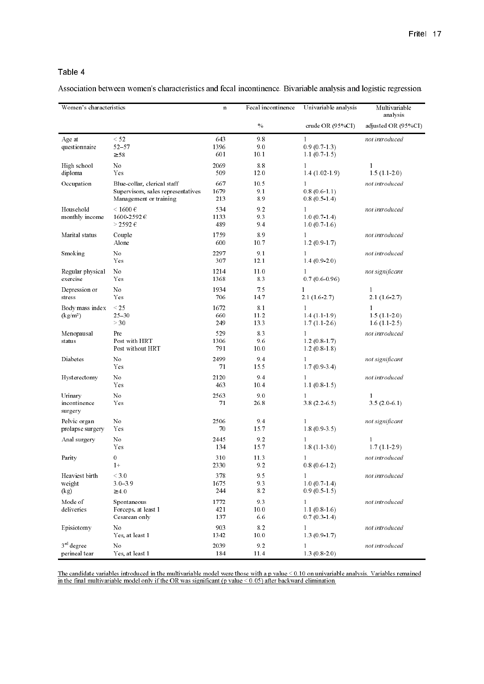Association between women's characteristics and fecal incontinence. Bivariable analysis and logistic regression.

| Women's characteristics                 |                                                                                             | $\mathbf n$        | Fecal incontinence  | Univariable analysis                         | Multivariable<br>analysis                |
|-----------------------------------------|---------------------------------------------------------------------------------------------|--------------------|---------------------|----------------------------------------------|------------------------------------------|
|                                         |                                                                                             |                    | $\%$                | crude OR $(95\%CI)$                          | adjusted OR (95%CI)                      |
| Age at<br>questionnaire                 | $\leq$ 52<br>$52 - 57$<br>$\geq$ 58                                                         | 643<br>1396<br>601 | 9.8<br>9.0<br>10.1  | $\mathbf{1}$<br>0.9(0.7.1.3)<br>11(0715)     | not introduced                           |
| High school<br>diploma                  | N0<br>Yes                                                                                   | 2069<br>509        | 8.8<br>12.0         | $\mathbf{1}$<br>1.4(1.02.1.9)                | $\mathbf{1}$<br>15(1120)                 |
| Occupation                              | Blue collar, clerical staff<br>Supervisors, sales representatives<br>Management or training | 667<br>1679<br>213 | 10.5<br>9.1<br>8.9  | $\mathbf{1}$<br>0.8(0.6.1.1)<br>0.8(0.5.1.4) | not introduced                           |
| Household<br>monthly income             | $\leq 1600 \text{ } \in$<br>1600-2592€<br>$>$ 2592 $\in$                                    | 534<br>1133<br>489 | 9.2<br>93<br>9.4    | $\mathbf{1}$<br>10(0714)<br>10(0.716)        | not introduced                           |
| Marital status                          | Couple<br>Alone                                                                             | 1759<br>600        | 8.9<br>10.7         | $\mathbf{1}$<br>12(0.9.1.7)                  | not introduced                           |
| Smoking                                 | N0<br>Yes                                                                                   | 2297<br>307        | 9.1<br>12.1         | $\mathbf{1}$<br>1.4(0.9.2.0)                 | not introduced                           |
| Regular physical<br>exercise            | No<br>Yes                                                                                   | 1214<br>1368       | 11.0<br>8.3         | $\mathbf{1}$<br>0.7(0.6.0.96)                | not significant                          |
| Depression or<br>stress                 | No<br>Yes                                                                                   | 1934<br>706        | 7.5<br>14.7         | $\mathbf{1}$<br>21(1627)                     | $\mathbf{1}$<br>21(1627)                 |
| Body mass index<br>(kg/m <sup>2</sup> ) | $\leq$ 25<br>$25 - 30$<br>$>30$                                                             | 1672<br>660<br>249 | 8.1<br>11.2<br>13.3 | $\mathbf{1}$<br>14(1119)<br>17(1126)         | $\mathbf{1}$<br>1.5(1.1.2.0)<br>16(1125) |
| Menopausal<br>status                    | Pre<br>Post with HRT<br>Post without HRT                                                    | 529<br>1306<br>791 | 8.3<br>9.6<br>10.0  | $\mathbf{1}$<br>$1.2(0.8-1.7)$<br>12(0818)   | not introduced                           |
| Diabetes                                | No<br>Yes                                                                                   | 2499<br>71         | 9.4<br>15.5         | $\mathbf{1}$<br>17(0.9.3.4)                  | not significant                          |
| Hysterectomy                            | No<br>Yes                                                                                   | 2120<br>463        | 9.4<br>10.4         | $\mathbf{1}$<br>11(0815)                     | not introduced                           |
| Urinary<br>incontinence<br>surgery      | No<br>Yes                                                                                   | 2563<br>71         | 9.0<br>26.8         | $\mathbf{1}$<br>38 (2265)                    | $\mathbf{1}$<br>3.5(2.0.6.1)             |
| Pelvic organ<br>prolapse surgery        | No<br>Yes                                                                                   | 2506<br>70         | 9.4<br>15.7         | $\mathbf{1}$<br>18(0935)                     | not significant                          |
| Anal surgery                            | No<br>Yes                                                                                   | 2445<br>134        | 9.2<br>15.7         | $\mathbf{1}$<br>18(1130)                     | 1<br>17(1129)                            |
| Parity                                  | $\boldsymbol{0}$<br>$1+$                                                                    | 310<br>2330        | 11.3<br>9.2         | $\mathbf{1}$<br>0.8(0.6.1.2)                 | not introduced                           |
| Heaviest birth<br>weight<br>(kg)        | $\leq 3.0$<br>$3.0 - 3.9$<br>$\geq 4.0$                                                     | 378<br>1675<br>244 | 9.5<br>9.3<br>8.2   | $\mathbf{1}$<br>1.0(0.7.1.4)<br>0.9(0.5.1.5) | not introduced                           |
| Mode of<br>deliveries                   | Spontaneous<br>Forceps, at least 1<br>Cesarean only                                         | 1772<br>421<br>137 | 9.3<br>10.0<br>6.6  | $\mathbf{1}$<br>11(0816)<br>0.7(0.3.1.4)     | not introduced                           |
| Episiotomy                              | No<br>Yes, at least 1                                                                       | 903<br>1342        | 8.2<br>10.0         | $\mathbf{1}$<br>1.3(0.9.1.7)                 | not introduced                           |
| $3rd$ degree<br>perineal tear           | No<br>Yes, at least 1                                                                       | 2039<br>184        | 9.2<br>11.4         | $\mathbf{1}$<br>1.3(0.8.2.0)                 | not introduced                           |

The candidate variables introduced in the multivariable model were those with a p value  $\leq 0.10$  on univariable analysis. Variables remained in the final multivariable model only if the OR was significant (p value  $\leq$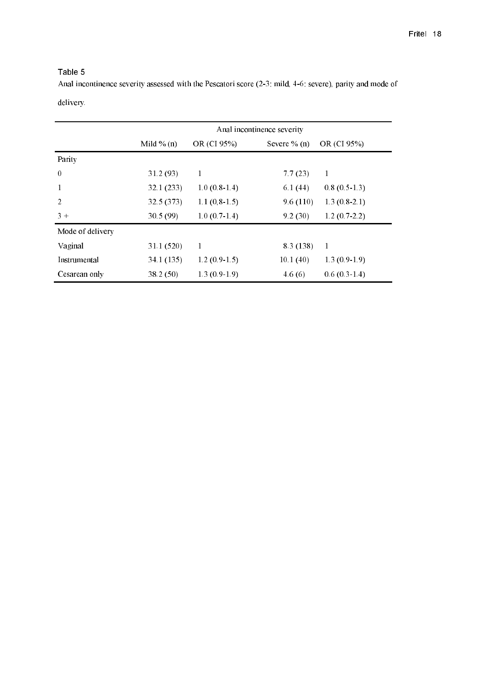Anal incontinence severity assessed with the Pescatori score (2-3: mild, 4-6: severe), parity and mode of

| delivery |
|----------|
|----------|

|                  | Anal incontinence severity |                |                 |                |  |  |
|------------------|----------------------------|----------------|-----------------|----------------|--|--|
|                  | Mild $\%$ (n)              | OR (CI 95%)    | Severe $\%$ (n) | OR (CI 95%)    |  |  |
| Parity           |                            |                |                 |                |  |  |
| $\mathbf{0}$     | 31.2(93)                   | 1              | 7.7(23)         | 1              |  |  |
| 1                | 32.1(233)                  | $1.0(0.8-1.4)$ | 6.1(44)         | $0.8(0.5-1.3)$ |  |  |
| $\overline{2}$   | 32.5 (373)                 | $1.1(0.8-1.5)$ | 9.6(110)        | $1.3(0.8-2.1)$ |  |  |
| $3+$             | 30.5(99)                   | $1.0(0.7-1.4)$ | 9.2(30)         | $1.2(0.7-2.2)$ |  |  |
| Mode of delivery |                            |                |                 |                |  |  |
| Vaginal          | 31.1 (520)                 | 1              | 8.3 (138)       | 1              |  |  |
| Instrumental     | 34.1 (135)                 | $1.2(0.9-1.5)$ | 10.1(40)        | $1.3(0.9-1.9)$ |  |  |
| Cesarean only    | 38.2 (50)                  | $1.3(0.9-1.9)$ | 4.6(6)          | $0.6(0.3-1.4)$ |  |  |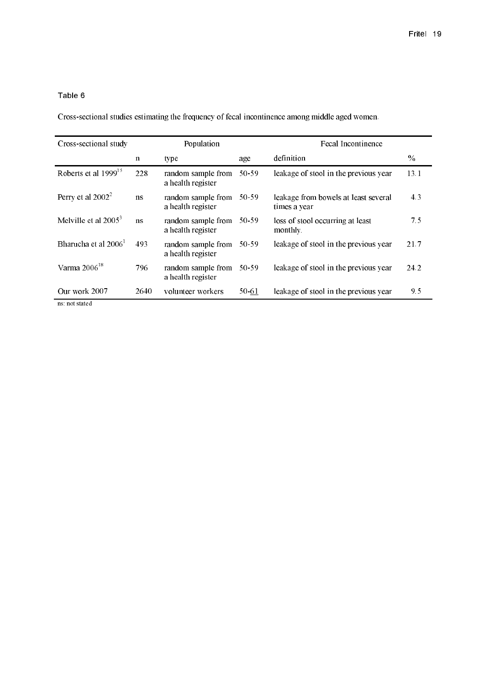Cross-sectional studies estimating the frequency of fecal incontinence among middle aged women.

| Cross-sectional study     |             | Population                              |       | Fecal Incontinence                                   |      |
|---------------------------|-------------|-----------------------------------------|-------|------------------------------------------------------|------|
|                           | $\mathbf n$ | type                                    | age   | definition                                           | $\%$ |
| Roberts et al $1999^{15}$ | 228         | random sample from<br>a health register | 50-59 | leakage of stool in the previous year                | 13.1 |
| Perry et al $2002^2$      | <b>ns</b>   | random sample from<br>a health register | 50-59 | leakage from bowels at least several<br>times a year | 4.3  |
| Melville et al $2005^3$   | ns          | random sample from<br>a health register | 50-59 | loss of stool occurring at least<br>monthly.         | 7.5  |
| Bharucha et al $20061$    | 493         | random sample from<br>a health register | 50-59 | leakage of stool in the previous year                | 21.7 |
| Varma $2006^{18}$         | 796         | random sample from<br>a health register | 50-59 | leakage of stool in the previous year                | 24.2 |
| Our work 2007             | 2640        | volunteer workers                       | 50-61 | leakage of stool in the previous year                | 9.5  |
| ns not stated             |             |                                         |       |                                                      |      |